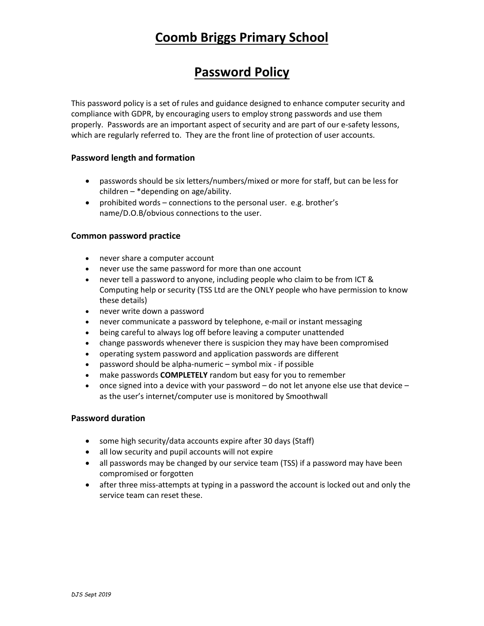# **Coomb Briggs Primary School**

## **Password Policy**

This password policy is a set of rules and guidance designed to enhance computer security and compliance with GDPR, by encouraging users to employ strong passwords and use them properly. Passwords are an important aspect of security and are part of our e-safety lessons, which are regularly referred to. They are the front line of protection of user accounts.

#### **Password length and formation**

- passwords should be six letters/numbers/mixed or more for staff, but can be less for children – \*depending on age/ability.
- prohibited words connections to the personal user. e.g. brother's name/D.O.B/obvious connections to the user.

#### **Common password practice**

- never share a computer account
- never use the same password for more than one account
- never tell a password to anyone, including people who claim to be from ICT & Computing help or security (TSS Ltd are the ONLY people who have permission to know these details)
- never write down a password
- never communicate a password by telephone, e-mail or instant messaging
- being careful to always log off before leaving a computer unattended
- change passwords whenever there is suspicion they may have been compromised
- operating system password and application passwords are different
- password should be alpha-numeric symbol mix if possible
- make passwords **COMPLETELY** random but easy for you to remember
- once signed into a device with your password  $-$  do not let anyone else use that device  $$ as the user's internet/computer use is monitored by Smoothwall

#### **Password duration**

- some high security/data accounts expire after 30 days (Staff)
- all low security and pupil accounts will not expire
- all passwords may be changed by our service team (TSS) if a password may have been compromised or forgotten
- after three miss-attempts at typing in a password the account is locked out and only the service team can reset these.